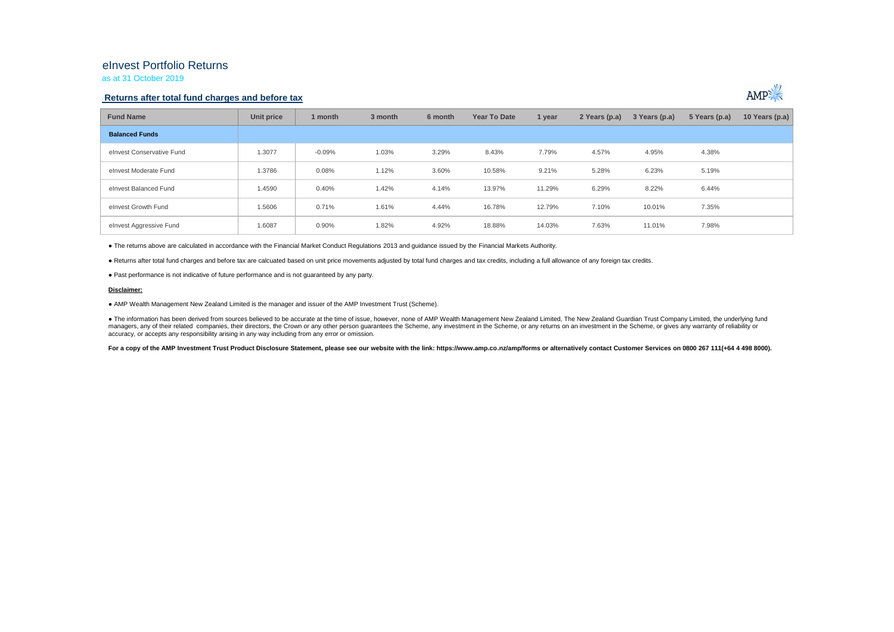## eInvest Portfolio Returns

as at 31 October 2019

### **Returns after total fund charges and before tax**



| <b>Fund Name</b>          | Unit price | 1 month  | 3 month | 6 month | Year To Date | 1 year | 2 Years (p.a) | 3 Years (p.a) | 5 Years (p.a) | 10 Years (p.a) $ $ |
|---------------------------|------------|----------|---------|---------|--------------|--------|---------------|---------------|---------------|--------------------|
| <b>Balanced Funds</b>     |            |          |         |         |              |        |               |               |               |                    |
| elnvest Conservative Fund | 1.3077     | $-0.09%$ | 1.03%   | 3.29%   | 8.43%        | 7.79%  | 4.57%         | 4.95%         | 4.38%         |                    |
| elnvest Moderate Fund     | 1.3786     | 0.08%    | 1.12%   | 3.60%   | 10.58%       | 9.21%  | 5.28%         | 6.23%         | 5.19%         |                    |
| elnvest Balanced Fund     | 1.4590     | 0.40%    | 1.42%   | 4.14%   | 13.97%       | 11.29% | 6.29%         | 8.22%         | 6.44%         |                    |
| elnvest Growth Fund       | 1.5606     | 0.71%    | 1.61%   | 4.44%   | 16.78%       | 12.79% | 7.10%         | 10.01%        | 7.35%         |                    |
| elnvest Aggressive Fund   | 1.6087     | 0.90%    | 1.82%   | 4.92%   | 18.88%       | 14.03% | 7.63%         | 11.01%        | 7.98%         |                    |

● The returns above are calculated in accordance with the Financial Market Conduct Regulations 2013 and guidance issued by the Financial Markets Authority.

● Returns after total fund charges and before tax are calcuated based on unit price movements adjusted by total fund charges and tax credits, including a full allowance of any foreign tax credits.

● Past performance is not indicative of future performance and is not guaranteed by any party.

#### **Disclaimer:**

● AMP Wealth Management New Zealand Limited is the manager and issuer of the AMP Investment Trust (Scheme).

● The information has been derived from sources believed to be accurate at the time of issue, however, none of AMP Wealth Management New Zealand Limited, The New Zealand Guardian Trust Company Limited, the underlying fund managers, any of their related companies, their directors, the Crown or any other person quarantees the Scheme, any investment in the Scheme, or any returns on an investment in the Scheme, or qives any warranty of reliabil accuracy, or accepts any responsibility arising in any way including from any error or omission.

For a copy of the AMP Investment Trust Product Disclosure Statement, please see our website with the link: https://www.amp.co.nz/amp/forms or alternatively contact Customer Services on 0800 267 111(+64 4 498 8000).